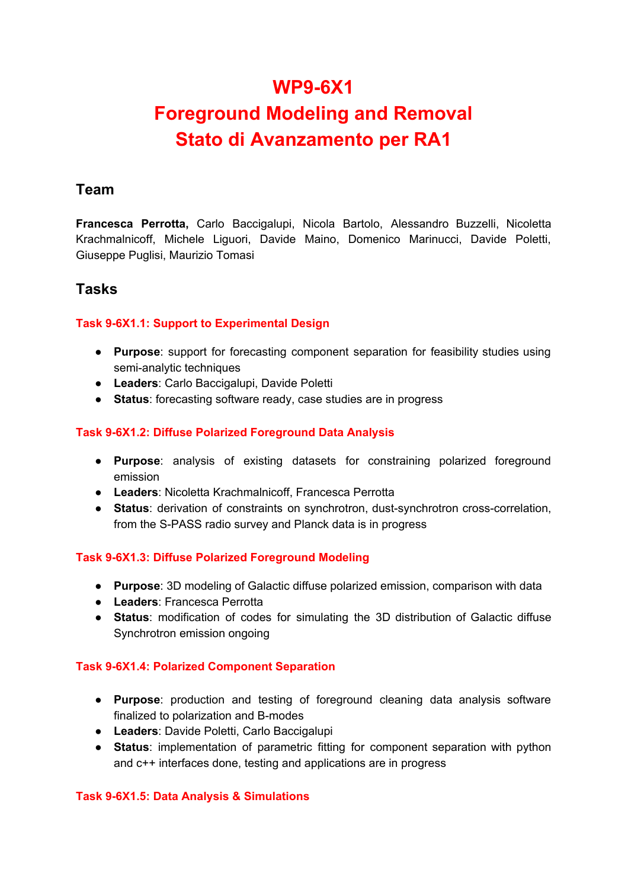# **WP9-6X1 Foreground Modeling and Removal Stato di Avanzamento per RA1**

### **Team**

**Francesca Perrotta,** Carlo Baccigalupi, Nicola Bartolo, Alessandro Buzzelli, Nicoletta Krachmalnicoff, Michele Liguori, Davide Maino, Domenico Marinucci, Davide Poletti, Giuseppe Puglisi, Maurizio Tomasi

### **Tasks**

#### **Task 9-6X1.1: Support to Experimental Design**

- **Purpose**: support for forecasting component separation for feasibility studies using semi-analytic techniques
- **Leaders**: Carlo Baccigalupi, Davide Poletti
- **Status**: forecasting software ready, case studies are in progress

#### **Task 9-6X1.2: Diffuse Polarized Foreground Data Analysis**

- **Purpose**: analysis of existing datasets for constraining polarized foreground emission
- **Leaders**: Nicoletta Krachmalnicoff, Francesca Perrotta
- **Status**: derivation of constraints on synchrotron, dust-synchrotron cross-correlation, from the S-PASS radio survey and Planck data is in progress

#### **Task 9-6X1.3: Diffuse Polarized Foreground Modeling**

- **Purpose**: 3D modeling of Galactic diffuse polarized emission, comparison with data
- **Leaders**: Francesca Perrotta
- **Status**: modification of codes for simulating the 3D distribution of Galactic diffuse Synchrotron emission ongoing

#### **Task 9-6X1.4: Polarized Component Separation**

- **Purpose**: production and testing of foreground cleaning data analysis software finalized to polarization and B-modes
- **Leaders**: Davide Poletti, Carlo Baccigalupi
- **Status**: implementation of parametric fitting for component separation with python and c++ interfaces done, testing and applications are in progress

#### **Task 9-6X1.5: Data Analysis & Simulations**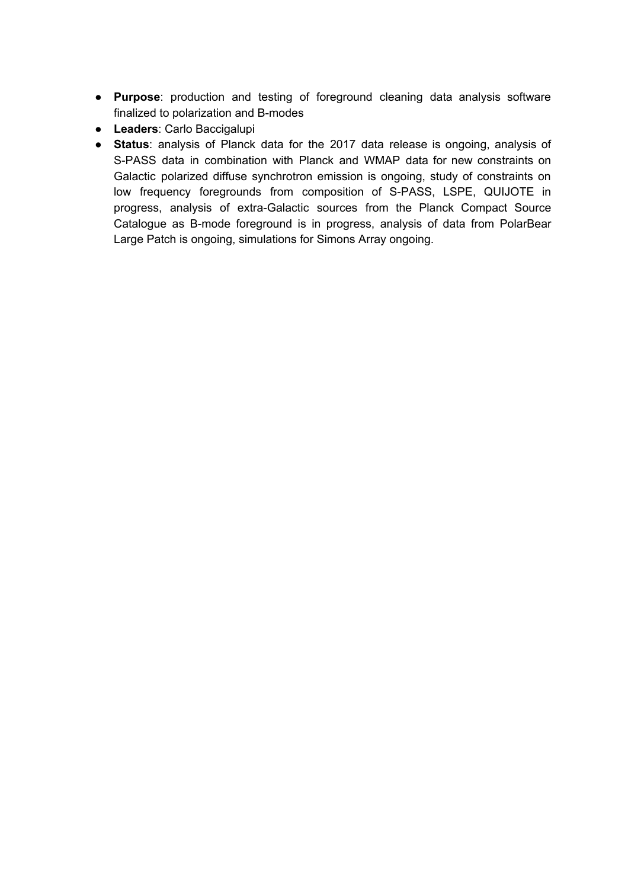- **Purpose**: production and testing of foreground cleaning data analysis software finalized to polarization and B-modes
- **Leaders**: Carlo Baccigalupi
- **Status**: analysis of Planck data for the 2017 data release is ongoing, analysis of S-PASS data in combination with Planck and WMAP data for new constraints on Galactic polarized diffuse synchrotron emission is ongoing, study of constraints on low frequency foregrounds from composition of S-PASS, LSPE, QUIJOTE in progress, analysis of extra-Galactic sources from the Planck Compact Source Catalogue as B-mode foreground is in progress, analysis of data from PolarBear Large Patch is ongoing, simulations for Simons Array ongoing.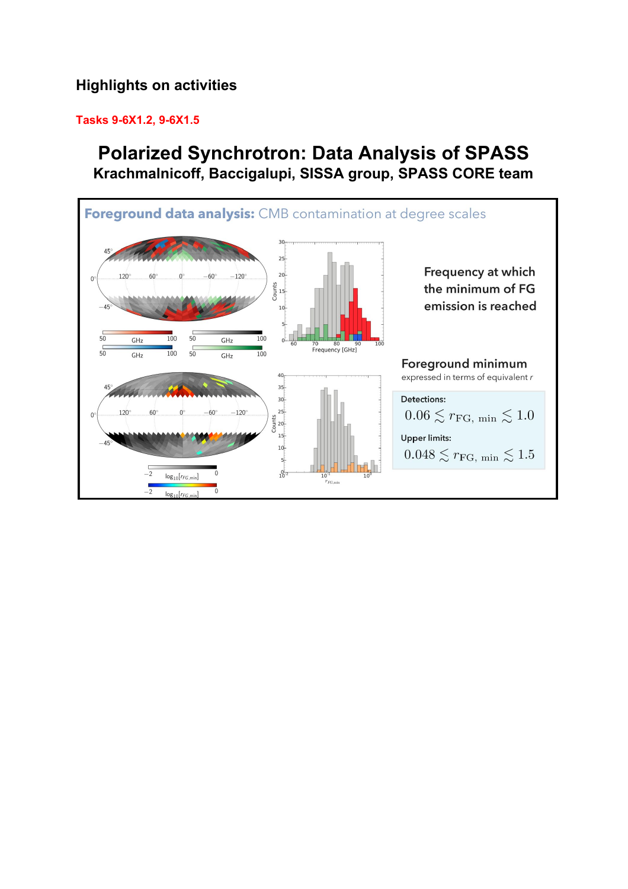## **Highlights on activities**

#### **Tasks 9-6X1.2, 9-6X1.5**

# **Polarized Synchrotron: Data Analysis of SPASS Krachmalnicoff, Baccigalupi, SISSA group, SPASS CORE team**

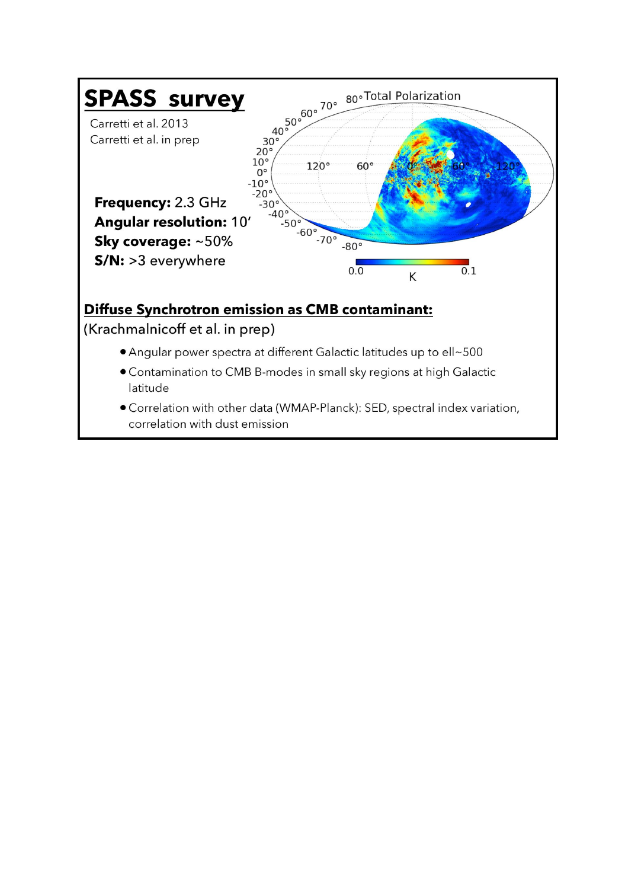

- Contamination to CMB B-modes in small sky regions at high Galactic latitude
- Correlation with other data (WMAP-Planck): SED, spectral index variation, correlation with dust emission